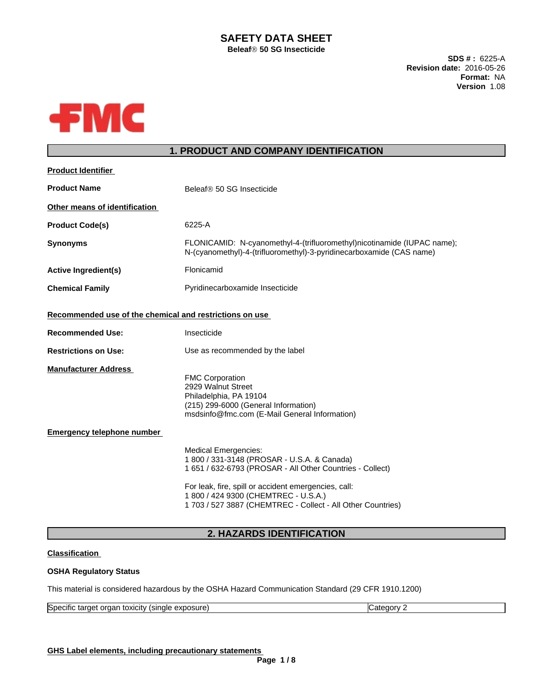# **SAFETY DATA SHEET**

**BeleafÒ50 SG Insecticide**

**SDS # :** 6225-A **Revision date:** 2016-05-26 **Format:** NA **Version** 1.08



## **1. PRODUCT AND COMPANY IDENTIFICATION**

| <b>Product Identifier</b>                               |                                                                                                                                                                                                                                                                                                       |
|---------------------------------------------------------|-------------------------------------------------------------------------------------------------------------------------------------------------------------------------------------------------------------------------------------------------------------------------------------------------------|
| <b>Product Name</b>                                     | Beleaf® 50 SG Insecticide                                                                                                                                                                                                                                                                             |
| Other means of identification                           |                                                                                                                                                                                                                                                                                                       |
| <b>Product Code(s)</b>                                  | 6225-A                                                                                                                                                                                                                                                                                                |
| <b>Synonyms</b>                                         | FLONICAMID: N-cyanomethyl-4-(trifluoromethyl)nicotinamide (IUPAC name);<br>N-(cyanomethyl)-4-(trifluoromethyl)-3-pyridinecarboxamide (CAS name)                                                                                                                                                       |
| <b>Active Ingredient(s)</b>                             | Flonicamid                                                                                                                                                                                                                                                                                            |
| <b>Chemical Family</b>                                  | Pyridinecarboxamide Insecticide                                                                                                                                                                                                                                                                       |
| Recommended use of the chemical and restrictions on use |                                                                                                                                                                                                                                                                                                       |
| <b>Recommended Use:</b>                                 | Insecticide                                                                                                                                                                                                                                                                                           |
| <b>Restrictions on Use:</b>                             | Use as recommended by the label                                                                                                                                                                                                                                                                       |
| <b>Manufacturer Address</b>                             | <b>FMC Corporation</b><br>2929 Walnut Street<br>Philadelphia, PA 19104<br>(215) 299-6000 (General Information)<br>msdsinfo@fmc.com (E-Mail General Information)                                                                                                                                       |
| <b>Emergency telephone number</b>                       |                                                                                                                                                                                                                                                                                                       |
|                                                         | <b>Medical Emergencies:</b><br>1800 / 331-3148 (PROSAR - U.S.A. & Canada)<br>1 651 / 632-6793 (PROSAR - All Other Countries - Collect)<br>For leak, fire, spill or accident emergencies, call:<br>1 800 / 424 9300 (CHEMTREC - U.S.A.)<br>1 703 / 527 3887 (CHEMTREC - Collect - All Other Countries) |
|                                                         |                                                                                                                                                                                                                                                                                                       |

## **2. HAZARDS IDENTIFICATION**

## **Classification**

### **OSHA Regulatory Status**

This material is considered hazardous by the OSHA Hazard Communication Standard (29 CFR 1910.1200)

| ∽<br>$\cdot$<br>$\sim$<br>exposure<br>Specific<br><b>LOXICITV</b><br>single<br>oraa<br>arger<br>' זו<br><br>. |
|---------------------------------------------------------------------------------------------------------------|
|---------------------------------------------------------------------------------------------------------------|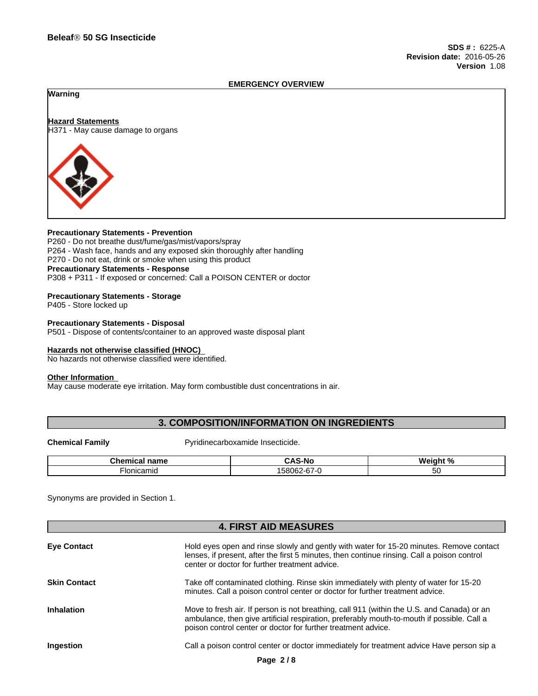#### **EMERGENCY OVERVIEW**

**Warning**

**Hazard Statements** H371 - May cause damage to organs



#### **Precautionary Statements - Prevention**

P260 - Do not breathe dust/fume/gas/mist/vapors/spray P264 - Wash face, hands and any exposed skin thoroughly after handling P270 - Do not eat, drink or smoke when using this product **Precautionary Statements - Response** P308 + P311 - If exposed or concerned: Call a POISON CENTER or doctor

#### **Precautionary Statements - Storage**

P405 - Store locked up

**Precautionary Statements - Disposal** P501 - Dispose of contents/container to an approved waste disposal plant

#### **Hazards not otherwise classified (HNOC)**

No hazards not otherwise classified were identified.

#### **Other Information**

May cause moderate eye irritation. May form combustible dust concentrations in air.

## **3. COMPOSITION/INFORMATION ON INGREDIENTS**

**Chemical Family Example 20 Pyridinecarboxamide Insecticide.** 

| <u>т.</u><br>----<br>ˈ name<br>nical<br>nar<br>. | . .<br>5-NG<br>.<br>$\cdots$        | Weight % |
|--------------------------------------------------|-------------------------------------|----------|
| ·Ionicamid                                       | $\sim$<br>100000<br>చిర్ర<br>⊸∪0Z−m | ື        |

Synonyms are provided in Section 1.

|                     | <b>4. FIRST AID MEASURES</b>                                                                                                                                                                                                                              |
|---------------------|-----------------------------------------------------------------------------------------------------------------------------------------------------------------------------------------------------------------------------------------------------------|
| <b>Eye Contact</b>  | Hold eyes open and rinse slowly and gently with water for 15-20 minutes. Remove contact<br>lenses, if present, after the first 5 minutes, then continue rinsing. Call a poison control<br>center or doctor for further treatment advice.                  |
| <b>Skin Contact</b> | Take off contaminated clothing. Rinse skin immediately with plenty of water for 15-20<br>minutes. Call a poison control center or doctor for further treatment advice.                                                                                    |
| <b>Inhalation</b>   | Move to fresh air. If person is not breathing, call 911 (within the U.S. and Canada) or an<br>ambulance, then give artificial respiration, preferably mouth-to-mouth if possible. Call a<br>poison control center or doctor for further treatment advice. |
| Ingestion           | Call a poison control center or doctor immediately for treatment advice Have person sip a                                                                                                                                                                 |
|                     | Page 2/8                                                                                                                                                                                                                                                  |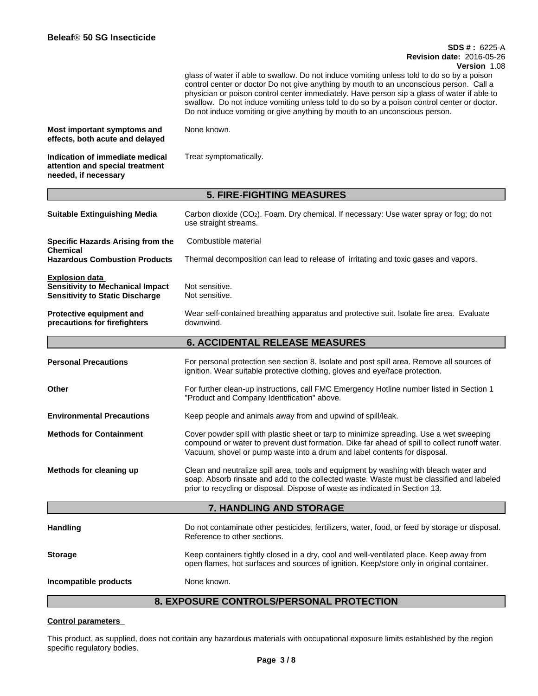## **SDS # :** 6225-A **Revision date:** 2016-05-26

**Version** 1.08

glass of water if able to swallow. Do not induce vomiting unless told to do so by a poison control center or doctor Do not give anything by mouth to an unconscious person. Call a physician or poison control center immediately. Have person sip a glass of water if able to swallow. Do not induce vomiting unless told to do so by a poison control center or doctor. Do not induce vomiting or give anything by mouth to an unconscious person.

| Most important symptoms and     | None known. |  |
|---------------------------------|-------------|--|
| effects, both acute and delayed |             |  |

**Indication of immediate medical attention and special treatment needed, if necessary**

|                                                                                                     | <b>5. FIRE-FIGHTING MEASURES</b>                                                                                                                                                                                                                                      |
|-----------------------------------------------------------------------------------------------------|-----------------------------------------------------------------------------------------------------------------------------------------------------------------------------------------------------------------------------------------------------------------------|
| <b>Suitable Extinguishing Media</b>                                                                 | Carbon dioxide (CO <sub>2</sub> ). Foam. Dry chemical. If necessary: Use water spray or fog; do not<br>use straight streams.                                                                                                                                          |
| <b>Specific Hazards Arising from the</b>                                                            | Combustible material                                                                                                                                                                                                                                                  |
| Chemical<br><b>Hazardous Combustion Products</b>                                                    | Thermal decomposition can lead to release of irritating and toxic gases and vapors.                                                                                                                                                                                   |
| Explosion data<br><b>Sensitivity to Mechanical Impact</b><br><b>Sensitivity to Static Discharge</b> | Not sensitive.<br>Not sensitive.                                                                                                                                                                                                                                      |
| <b>Protective equipment and</b><br>precautions for firefighters                                     | Wear self-contained breathing apparatus and protective suit. Isolate fire area. Evaluate<br>downwind.                                                                                                                                                                 |
|                                                                                                     | <b>6. ACCIDENTAL RELEASE MEASURES</b>                                                                                                                                                                                                                                 |
| <b>Personal Precautions</b>                                                                         | For personal protection see section 8. Isolate and post spill area. Remove all sources of<br>ignition. Wear suitable protective clothing, gloves and eye/face protection.                                                                                             |
| Other                                                                                               | For further clean-up instructions, call FMC Emergency Hotline number listed in Section 1<br>"Product and Company Identification" above.                                                                                                                               |
| <b>Environmental Precautions</b>                                                                    | Keep people and animals away from and upwind of spill/leak.                                                                                                                                                                                                           |
| <b>Methods for Containment</b>                                                                      | Cover powder spill with plastic sheet or tarp to minimize spreading. Use a wet sweeping<br>compound or water to prevent dust formation. Dike far ahead of spill to collect runoff water.<br>Vacuum, shovel or pump waste into a drum and label contents for disposal. |
| Methods for cleaning up                                                                             | Clean and neutralize spill area, tools and equipment by washing with bleach water and<br>soap. Absorb rinsate and add to the collected waste. Waste must be classified and labeled<br>prior to recycling or disposal. Dispose of waste as indicated in Section 13.    |
|                                                                                                     | 7. HANDLING AND STORAGE                                                                                                                                                                                                                                               |
| Handling                                                                                            | Do not contaminate other pesticides, fertilizers, water, food, or feed by storage or disposal.<br>Reference to other sections.                                                                                                                                        |
| Storage                                                                                             | Keep containers tightly closed in a dry, cool and well-ventilated place. Keep away from<br>open flames, hot surfaces and sources of ignition. Keep/store only in original container.                                                                                  |
| <b>Incompatible products</b>                                                                        | None known.                                                                                                                                                                                                                                                           |
|                                                                                                     | <b>8. EXPOSURE CONTROLS/PERSONAL PROTECTION</b>                                                                                                                                                                                                                       |

Treat symptomatically.

#### **Control parameters**

This product, as supplied, does not contain any hazardous materials with occupational exposure limits established by the region specific regulatory bodies.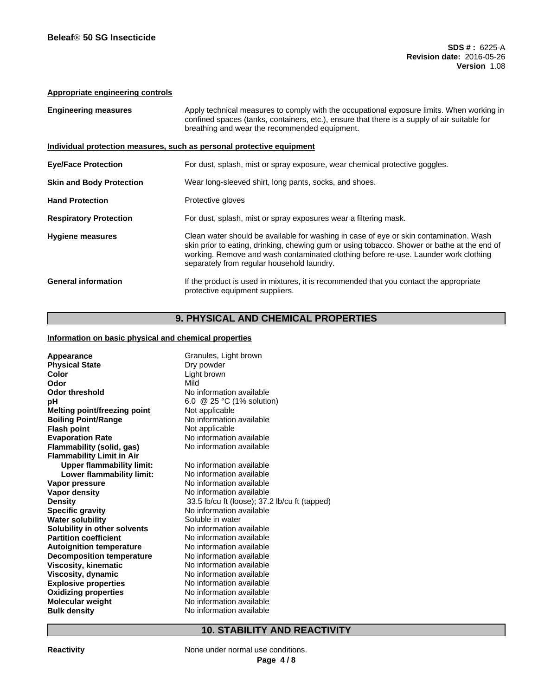#### **Appropriate engineering controls**

| <b>Engineering measures</b>                                           | Apply technical measures to comply with the occupational exposure limits. When working in<br>confined spaces (tanks, containers, etc.), ensure that there is a supply of air suitable for<br>breathing and wear the recommended equipment.                                                                                 |
|-----------------------------------------------------------------------|----------------------------------------------------------------------------------------------------------------------------------------------------------------------------------------------------------------------------------------------------------------------------------------------------------------------------|
| Individual protection measures, such as personal protective equipment |                                                                                                                                                                                                                                                                                                                            |
| <b>Eye/Face Protection</b>                                            | For dust, splash, mist or spray exposure, wear chemical protective goggles.                                                                                                                                                                                                                                                |
| <b>Skin and Body Protection</b>                                       | Wear long-sleeved shirt, long pants, socks, and shoes.                                                                                                                                                                                                                                                                     |
| <b>Hand Protection</b>                                                | Protective gloves                                                                                                                                                                                                                                                                                                          |
| <b>Respiratory Protection</b>                                         | For dust, splash, mist or spray exposures wear a filtering mask.                                                                                                                                                                                                                                                           |
| <b>Hygiene measures</b>                                               | Clean water should be available for washing in case of eye or skin contamination. Wash<br>skin prior to eating, drinking, chewing gum or using tobacco. Shower or bathe at the end of<br>working. Remove and wash contaminated clothing before re-use. Launder work clothing<br>separately from regular household laundry. |
| <b>General information</b>                                            | If the product is used in mixtures, it is recommended that you contact the appropriate<br>protective equipment suppliers.                                                                                                                                                                                                  |

## **9. PHYSICAL AND CHEMICAL PROPERTIES**

#### **Information on basic physical and chemical properties**

| Appearance                       | Granules, Light brown                         |
|----------------------------------|-----------------------------------------------|
| <b>Physical State</b>            | Dry powder                                    |
| Color                            | Light brown                                   |
| Odor                             | Mild                                          |
| <b>Odor threshold</b>            | No information available                      |
| рH                               | 6.0 @ 25 °C (1% solution)                     |
| Melting point/freezing point     | Not applicable                                |
| <b>Boiling Point/Range</b>       | No information available                      |
| <b>Flash point</b>               | Not applicable                                |
| <b>Evaporation Rate</b>          | No information available                      |
| Flammability (solid, gas)        | No information available                      |
| <b>Flammability Limit in Air</b> |                                               |
| <b>Upper flammability limit:</b> | No information available                      |
| Lower flammability limit:        | No information available                      |
| Vapor pressure                   | No information available                      |
| <b>Vapor density</b>             | No information available                      |
| <b>Density</b>                   | 33.5 lb/cu ft (loose); 37.2 lb/cu ft (tapped) |
| <b>Specific gravity</b>          | No information available                      |
| <b>Water solubility</b>          | Soluble in water                              |
| Solubility in other solvents     | No information available                      |
| <b>Partition coefficient</b>     | No information available                      |
| <b>Autoignition temperature</b>  | No information available                      |
| <b>Decomposition temperature</b> | No information available                      |
| <b>Viscosity, kinematic</b>      | No information available                      |
| Viscosity, dynamic               | No information available                      |
| <b>Explosive properties</b>      | No information available                      |
| <b>Oxidizing properties</b>      | No information available                      |
| <b>Molecular weight</b>          | No information available                      |
| <b>Bulk density</b>              | No information available                      |

## **10. STABILITY AND REACTIVITY**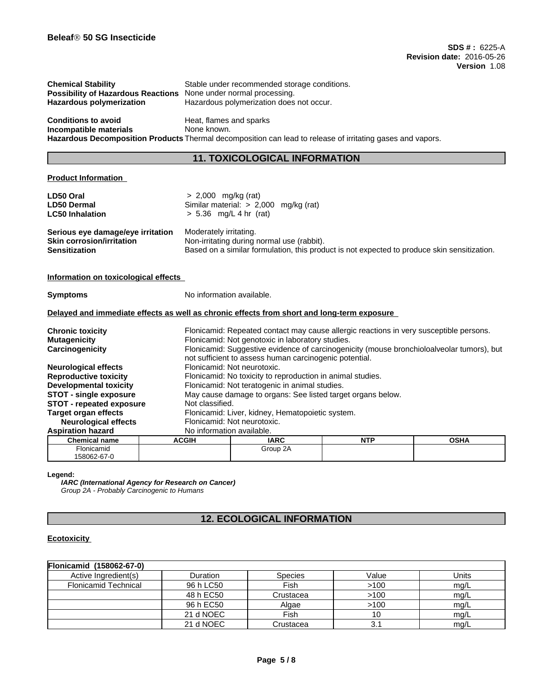| <b>Chemical Stability</b>                 | Stable under recommended storage conditions.                                                               |
|-------------------------------------------|------------------------------------------------------------------------------------------------------------|
| <b>Possibility of Hazardous Reactions</b> | None under normal processing.                                                                              |
| <b>Hazardous polymerization</b>           | Hazardous polymerization does not occur.                                                                   |
| <b>Conditions to avoid</b>                | Heat, flames and sparks                                                                                    |
| Incompatible materials                    | None known.                                                                                                |
|                                           | Hazardous Decomposition Products Thermal decomposition can lead to release of irritating gases and vapors. |

# **11. TOXICOLOGICAL INFORMATION**

#### **Product Information**

| LD50 Oral<br><b>LD50 Dermal</b><br><b>LC50 Inhalation</b>                                     | $> 2,000$ mg/kg (rat)<br>$> 5.36$ mg/L 4 hr (rat) | Similar material: > 2,000 mg/kg (rat)                                                                                                               |            |             |  |
|-----------------------------------------------------------------------------------------------|---------------------------------------------------|-----------------------------------------------------------------------------------------------------------------------------------------------------|------------|-------------|--|
| Serious eye damage/eye irritation<br><b>Skin corrosion/irritation</b><br><b>Sensitization</b> | Moderately irritating.                            | Non-irritating during normal use (rabbit).<br>Based on a similar formulation, this product is not expected to produce skin sensitization.           |            |             |  |
| Information on toxicological effects                                                          |                                                   |                                                                                                                                                     |            |             |  |
| <b>Symptoms</b>                                                                               | No information available.                         |                                                                                                                                                     |            |             |  |
| Delayed and immediate effects as well as chronic effects from short and long-term exposure    |                                                   |                                                                                                                                                     |            |             |  |
| <b>Chronic toxicity</b>                                                                       |                                                   | Flonicamid: Repeated contact may cause allergic reactions in very susceptible persons.                                                              |            |             |  |
| <b>Mutagenicity</b>                                                                           |                                                   | Flonicamid: Not genotoxic in laboratory studies.                                                                                                    |            |             |  |
| Carcinogenicity                                                                               |                                                   | Flonicamid: Suggestive evidence of carcinogenicity (mouse bronchioloalveolar tumors), but<br>not sufficient to assess human carcinogenic potential. |            |             |  |
| <b>Neurological effects</b>                                                                   |                                                   | Flonicamid: Not neurotoxic.                                                                                                                         |            |             |  |
| <b>Reproductive toxicity</b>                                                                  |                                                   | Flonicamid: No toxicity to reproduction in animal studies.                                                                                          |            |             |  |
| <b>Developmental toxicity</b>                                                                 |                                                   | Flonicamid: Not teratogenic in animal studies.                                                                                                      |            |             |  |
| <b>STOT - single exposure</b>                                                                 |                                                   | May cause damage to organs: See listed target organs below.                                                                                         |            |             |  |
| <b>STOT - repeated exposure</b>                                                               | Not classified.                                   |                                                                                                                                                     |            |             |  |
| <b>Target organ effects</b>                                                                   |                                                   | Flonicamid: Liver, kidney, Hematopoietic system.                                                                                                    |            |             |  |
| <b>Neurological effects</b>                                                                   |                                                   | Flonicamid: Not neurotoxic.                                                                                                                         |            |             |  |
| <b>Aspiration hazard</b>                                                                      | No information available.                         |                                                                                                                                                     |            |             |  |
| <b>Chemical name</b>                                                                          | <b>ACGIH</b>                                      | <b>IARC</b>                                                                                                                                         | <b>NTP</b> | <b>OSHA</b> |  |
| Flonicamid                                                                                    |                                                   | Group 2A                                                                                                                                            |            |             |  |

#### **Legend:**

158062-67-0

*IARC (International Agency for Research on Cancer) Group 2A - Probably Carcinogenic to Humans*

## **12. ECOLOGICAL INFORMATION**

### **Ecotoxicity**

| Flonicamid (158062-67-0)    |                 |                |       |       |
|-----------------------------|-----------------|----------------|-------|-------|
| Active Ingredient(s)        | <b>Duration</b> | <b>Species</b> | Value | Units |
| <b>Flonicamid Technical</b> | 96 h LC50       | Fish           | >100  | mg/L  |
|                             | 48 h EC50       | Crustacea      | >100  | mq/L  |
|                             | 96 h EC50       | Algae          | >100  | mg/L  |
|                             | 21 d NOEC       | Fish           | 10    | mq/L  |
|                             | 21 d NOEC       | Crustacea      | 3.1   | mq/L  |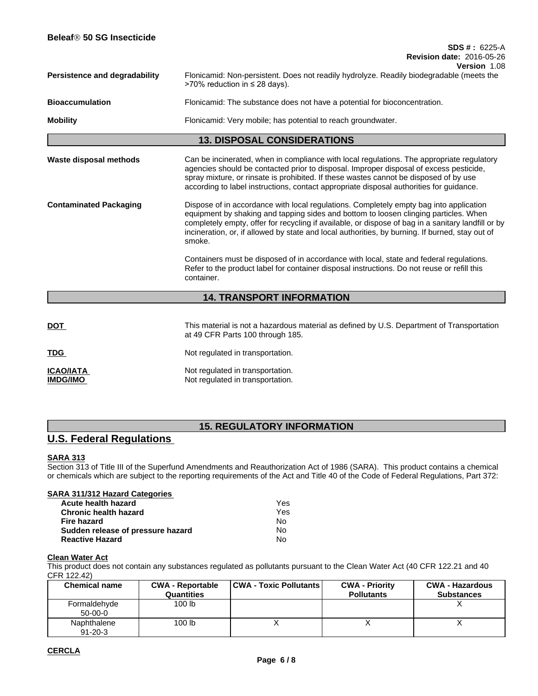| Beleaf® 50 SG Insecticide            |                                                                                                                                                                                                                                                                                                                                                                                                   |
|--------------------------------------|---------------------------------------------------------------------------------------------------------------------------------------------------------------------------------------------------------------------------------------------------------------------------------------------------------------------------------------------------------------------------------------------------|
|                                      | $SDS # : 6225-A$<br><b>Revision date: 2016-05-26</b>                                                                                                                                                                                                                                                                                                                                              |
|                                      | Version 1.08                                                                                                                                                                                                                                                                                                                                                                                      |
| <b>Persistence and degradability</b> | Flonicamid: Non-persistent. Does not readily hydrolyze. Readily biodegradable (meets the<br>>70% reduction in $\leq$ 28 days).                                                                                                                                                                                                                                                                    |
| <b>Bioaccumulation</b>               | Flonicamid: The substance does not have a potential for bioconcentration.                                                                                                                                                                                                                                                                                                                         |
| <b>Mobility</b>                      | Flonicamid: Very mobile; has potential to reach groundwater.                                                                                                                                                                                                                                                                                                                                      |
|                                      | <b>13. DISPOSAL CONSIDERATIONS</b>                                                                                                                                                                                                                                                                                                                                                                |
| Waste disposal methods               | Can be incinerated, when in compliance with local regulations. The appropriate regulatory<br>agencies should be contacted prior to disposal. Improper disposal of excess pesticide,<br>spray mixture, or rinsate is prohibited. If these wastes cannot be disposed of by use<br>according to label instructions, contact appropriate disposal authorities for guidance.                           |
| <b>Contaminated Packaging</b>        | Dispose of in accordance with local regulations. Completely empty bag into application<br>equipment by shaking and tapping sides and bottom to loosen clinging particles. When<br>completely empty, offer for recycling if available, or dispose of bag in a sanitary landfill or by<br>incineration, or, if allowed by state and local authorities, by burning. If burned, stay out of<br>smoke. |
|                                      | Containers must be disposed of in accordance with local, state and federal regulations.<br>Refer to the product label for container disposal instructions. Do not reuse or refill this<br>container.                                                                                                                                                                                              |
|                                      | <b>14. TRANSPORT INFORMATION</b>                                                                                                                                                                                                                                                                                                                                                                  |
|                                      |                                                                                                                                                                                                                                                                                                                                                                                                   |
| DOT                                  | This material is not a hazardous material as defined by U.S. Department of Transportation<br>at 49 CFR Parts 100 through 185.                                                                                                                                                                                                                                                                     |
| <b>TDG</b>                           | Not regulated in transportation.                                                                                                                                                                                                                                                                                                                                                                  |

**ICAO/IATA IMPO/IMPO IMPO/IMPO IMPO/IMPO Not regulated in transportation.** Not regulated in transportation.

## **15. REGULATORY INFORMATION**

## **U.S. Federal Regulations**

### **SARA 313**

Section 313 of Title III of the Superfund Amendments and Reauthorization Act of 1986 (SARA). This product contains a chemical or chemicals which are subject to the reporting requirements of the Act and Title 40 of the Code of Federal Regulations, Part 372:

| Yes |  |
|-----|--|
| Yes |  |
| No  |  |
| No  |  |
| No  |  |
|     |  |

#### **Clean Water Act**

This product does not contain any substances regulated as pollutants pursuant to the Clean Water Act (40 CFR 122.21 and 40 CFR 122.42)

| <b>Chemical name</b>         | <b>CWA - Reportable</b><br>Quantities | <b>CWA - Toxic Pollutants  </b> | <b>CWA - Priority</b><br><b>Pollutants</b> | <b>CWA - Hazardous</b><br><b>Substances</b> |
|------------------------------|---------------------------------------|---------------------------------|--------------------------------------------|---------------------------------------------|
| Formaldehyde<br>$50-00-0$    | 100 lb                                |                                 |                                            |                                             |
| Naphthalene<br>$91 - 20 - 3$ | 100 lb                                |                                 |                                            |                                             |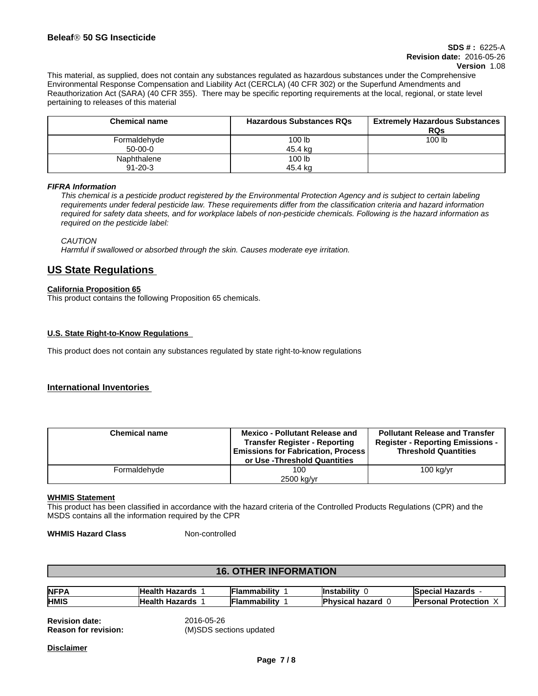#### **SDS # :** 6225-A **Revision date:** 2016-05-26 **Version** 1.08

This material, as supplied, does not contain any substances regulated as hazardous substances under the Comprehensive Environmental Response Compensation and Liability Act (CERCLA) (40 CFR 302) or the Superfund Amendments and Reauthorization Act (SARA) (40 CFR 355). There may be specific reporting requirements at the local, regional, or state level pertaining to releases of this material

| <b>Chemical name</b> | <b>Hazardous Substances RQs</b> | <b>Extremely Hazardous Substances</b><br><b>RQs</b> |
|----------------------|---------------------------------|-----------------------------------------------------|
| Formaldehyde         | 100 <sub>lb</sub>               | 100 lb                                              |
| $50-00-0$            | 45.4 kg                         |                                                     |
| Naphthalene          | 100 lb                          |                                                     |
| $91 - 20 - 3$        | 45.4 ka                         |                                                     |

#### *FIFRA Information*

This chemical is a pesticide product registered by the Environmental Protection Agency and is subject to certain labeling requirements under federal pesticide law. These requirements differ from the classification criteria and hazard information required for safety data sheets, and for workplace labels of non-pesticide chemicals. Following is the hazard information as *required on the pesticide label:*

*CAUTION*

*Harmful if swallowed or absorbed through the skin. Causes moderate eye irritation.*

## **US State Regulations**

#### **California Proposition 65**

This product contains the following Proposition 65 chemicals.

#### **U.S. State Right-to-Know Regulations**

This product does not contain any substances regulated by state right-to-know regulations

#### **International Inventories**

| <b>Chemical name</b> | <b>Mexico - Pollutant Release and</b><br><b>Transfer Register - Reporting</b><br><b>Emissions for Fabrication, Process</b><br>or Use -Threshold Quantities | <b>Pollutant Release and Transfer</b><br><b>Register - Reporting Emissions -</b><br><b>Threshold Quantities</b> |
|----------------------|------------------------------------------------------------------------------------------------------------------------------------------------------------|-----------------------------------------------------------------------------------------------------------------|
| Formaldehyde         | 100<br>2500 kg/yr                                                                                                                                          | $100$ kg/yr                                                                                                     |

#### **WHMIS Statement**

This product has been classified in accordance with the hazard criteria of the Controlled Products Regulations (CPR) and the MSDS contains all the information required by the CPR

**WHMIS Hazard Class** Non-controlled

### **16. OTHER INFORMATION**

| <b>NFPA</b> | lHealth<br>wasard.<br>mazaros            | <br>∟rlammability  | <br>ıstabilitv                           | <b>Special</b><br>Hazarde<br>nazarus<br>жыл |
|-------------|------------------------------------------|--------------------|------------------------------------------|---------------------------------------------|
| <b>HMIS</b> | Healt <sup>'</sup><br>wasarda<br>mazaros | <br>╺<br>ımabilitv | <b>boyor</b><br>uvsical.<br>20I .<br>. . | <b>Personal</b><br><b>Protection</b>        |

**Revision date:** 2016-05-26<br>**Reason for revision:** (MISDS sec

**Reason for revision:** (M)SDS sections updated

**Disclaimer**